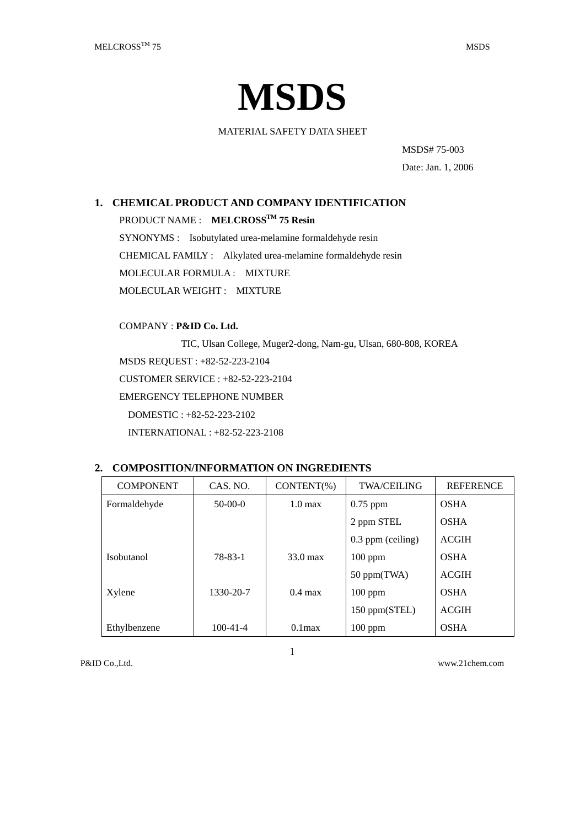

MATERIAL SAFETY DATA SHEET

MSDS# 75-003

Date: Jan. 1, 2006

# **1. CHEMICAL PRODUCT AND COMPANY IDENTIFICATION**

PRODUCT NAME : **MELCROSSTM 75 Resin**

SYNONYMS : Isobutylated urea-melamine formaldehyde resin CHEMICAL FAMILY : Alkylated urea-melamine formaldehyde resin MOLECULAR FORMULA : MIXTURE MOLECULAR WEIGHT : MIXTURE

COMPANY : **P&ID Co. Ltd.**

TIC, Ulsan College, Muger2-dong, Nam-gu, Ulsan, 680-808, KOREA

MSDS REQUEST : +82-52-223-2104

CUSTOMER SERVICE : +82-52-223-2104

EMERGENCY TELEPHONE NUMBER

DOMESTIC : +82-52-223-2102

INTERNATIONAL : +82-52-223-2108

## **2. COMPOSITION/INFORMATION ON INGREDIENTS**

| <b>COMPONENT</b>  | CAS. NO.       | CONTENT(%)         | <b>TWA/CEILING</b> | <b>REFERENCE</b> |
|-------------------|----------------|--------------------|--------------------|------------------|
| Formaldehyde      | $50-00-0$      | $1.0 \text{ max}$  | $0.75$ ppm         | <b>OSHA</b>      |
|                   |                |                    | 2 ppm STEL         | <b>OSHA</b>      |
|                   |                |                    | 0.3 ppm (ceiling)  | <b>ACGIH</b>     |
| <b>Isobutanol</b> | 78-83-1        | $33.0 \text{ max}$ | $100$ ppm          | <b>OSHA</b>      |
|                   |                |                    | 50 ppm(TWA)        | <b>ACGIH</b>     |
| Xylene            | 1330-20-7      | $0.4 \text{ max}$  | $100$ ppm          | <b>OSHA</b>      |
|                   |                |                    | 150 ppm(STEL)      | <b>ACGIH</b>     |
| Ethylbenzene      | $100 - 41 - 4$ | $0.1$ max          | $100$ ppm          | <b>OSHA</b>      |

1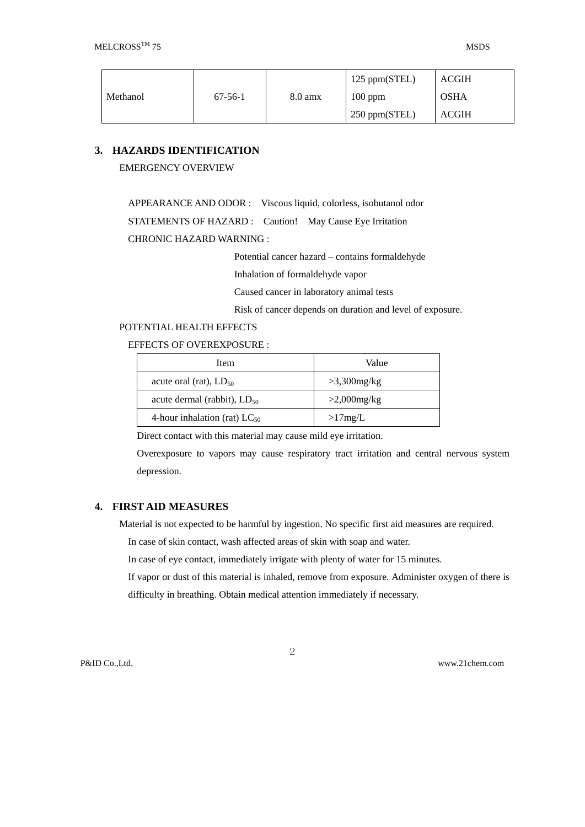|          |           |                   | 125 ppm(STEL) | <b>ACGIH</b> |
|----------|-----------|-------------------|---------------|--------------|
| Methanol | $67-56-1$ | $8.0 \text{ amx}$ | $100$ ppm     | <b>OSHA</b>  |
|          |           |                   | 250 ppm(STEL) | <b>ACGIH</b> |

# **3. HAZARDS IDENTIFICATION**

EMERGENCY OVERVIEW

APPEARANCE AND ODOR : Viscous liquid, colorless, isobutanol odor

STATEMENTS OF HAZARD : Caution! May Cause Eye Irritation

### CHRONIC HAZARD WARNING :

Potential cancer hazard – contains formaldehyde

Inhalation of formaldehyde vapor

Caused cancer in laboratory animal tests

Risk of cancer depends on duration and level of exposure.

# POTENTIAL HEALTH EFFECTS

#### EFFECTS OF OVEREXPOSURE :

| Item                              | Value          |  |
|-----------------------------------|----------------|--|
| acute oral (rat), $LD_{50}$       | $>3,300$ mg/kg |  |
| acute dermal (rabbit), $LD_{50}$  | $>2,000$ mg/kg |  |
| 4-hour inhalation (rat) $LC_{50}$ | >17mg/L        |  |

Direct contact with this material may cause mild eye irritation.

Overexposure to vapors may cause respiratory tract irritation and central nervous system depression.

## **4. FIRST AID MEASURES**

Material is not expected to be harmful by ingestion. No specific first aid measures are required.

In case of skin contact, wash affected areas of skin with soap and water.

In case of eye contact, immediately irrigate with plenty of water for 15 minutes.

If vapor or dust of this material is inhaled, remove from exposure. Administer oxygen of there is difficulty in breathing. Obtain medical attention immediately if necessary.

2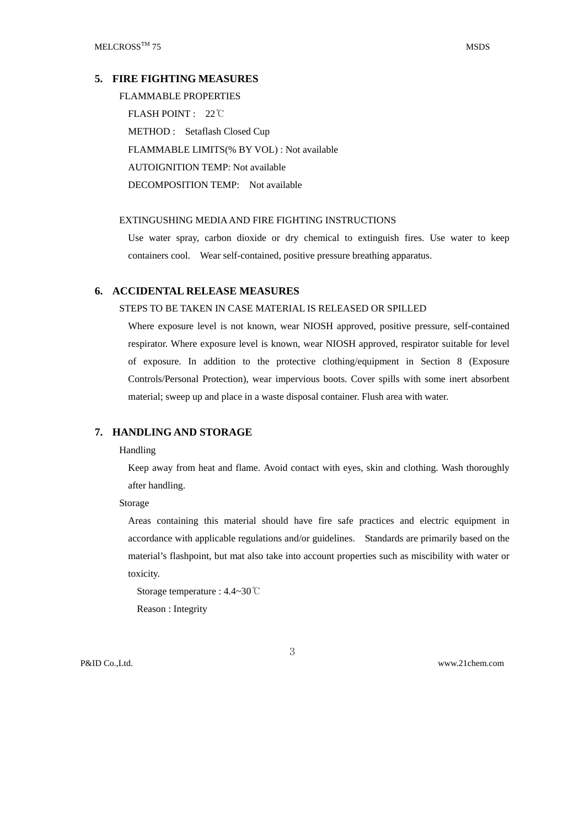### **5. FIRE FIGHTING MEASURES**

FLAMMABLE PROPERTIES FLASH POINT : 22℃ METHOD : Setaflash Closed Cup FLAMMABLE LIMITS(% BY VOL) : Not available AUTOIGNITION TEMP: Not available DECOMPOSITION TEMP: Not available

#### EXTINGUSHING MEDIA AND FIRE FIGHTING INSTRUCTIONS

Use water spray, carbon dioxide or dry chemical to extinguish fires. Use water to keep containers cool. Wear self-contained, positive pressure breathing apparatus.

## **6. ACCIDENTAL RELEASE MEASURES**

#### STEPS TO BE TAKEN IN CASE MATERIAL IS RELEASED OR SPILLED

Where exposure level is not known, wear NIOSH approved, positive pressure, self-contained respirator. Where exposure level is known, wear NIOSH approved, respirator suitable for level of exposure. In addition to the protective clothing/equipment in Section 8 (Exposure Controls/Personal Protection), wear impervious boots. Cover spills with some inert absorbent material; sweep up and place in a waste disposal container. Flush area with water.

## **7. HANDLING AND STORAGE**

#### Handling

Keep away from heat and flame. Avoid contact with eyes, skin and clothing. Wash thoroughly after handling.

Storage

Areas containing this material should have fire safe practices and electric equipment in accordance with applicable regulations and/or guidelines. Standards are primarily based on the material's flashpoint, but mat also take into account properties such as miscibility with water or toxicity.

Storage temperature : 4.4~30℃

Reason : Integrity

3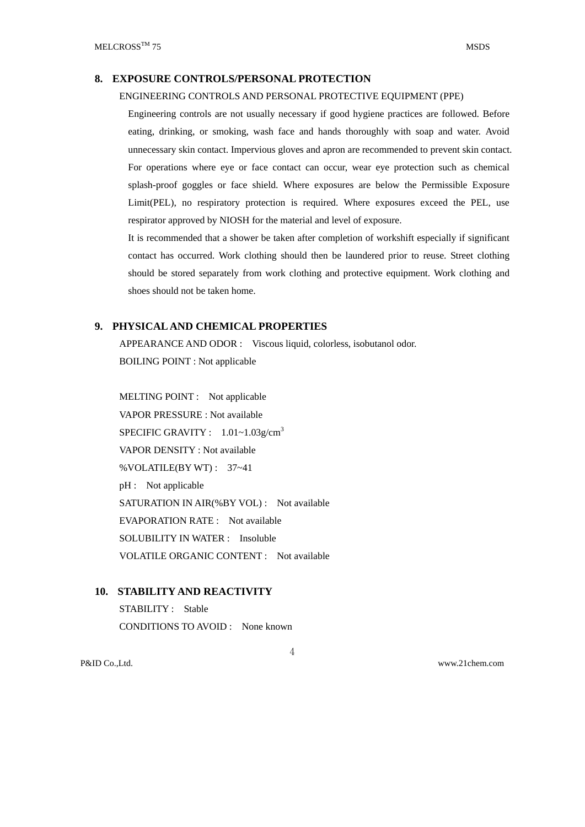## **8. EXPOSURE CONTROLS/PERSONAL PROTECTION**

#### ENGINEERING CONTROLS AND PERSONAL PROTECTIVE EQUIPMENT (PPE)

Engineering controls are not usually necessary if good hygiene practices are followed. Before eating, drinking, or smoking, wash face and hands thoroughly with soap and water. Avoid unnecessary skin contact. Impervious gloves and apron are recommended to prevent skin contact. For operations where eye or face contact can occur, wear eye protection such as chemical splash-proof goggles or face shield. Where exposures are below the Permissible Exposure Limit(PEL), no respiratory protection is required. Where exposures exceed the PEL, use respirator approved by NIOSH for the material and level of exposure.

It is recommended that a shower be taken after completion of workshift especially if significant contact has occurred. Work clothing should then be laundered prior to reuse. Street clothing should be stored separately from work clothing and protective equipment. Work clothing and shoes should not be taken home.

### **9. PHYSICAL AND CHEMICAL PROPERTIES**

APPEARANCE AND ODOR : Viscous liquid, colorless, isobutanol odor. BOILING POINT : Not applicable

MELTING POINT : Not applicable VAPOR PRESSURE : Not available SPECIFIC GRAVITY :  $1.01 \sim 1.03$ g/cm<sup>3</sup> VAPOR DENSITY : Not available %VOLATILE(BY WT) : 37~41 pH : Not applicable SATURATION IN AIR(%BY VOL) : Not available EVAPORATION RATE : Not available SOLUBILITY IN WATER : Insoluble VOLATILE ORGANIC CONTENT : Not available

## **10. STABILITY AND REACTIVITY**

STABILITY : Stable CONDITIONS TO AVOID : None known

4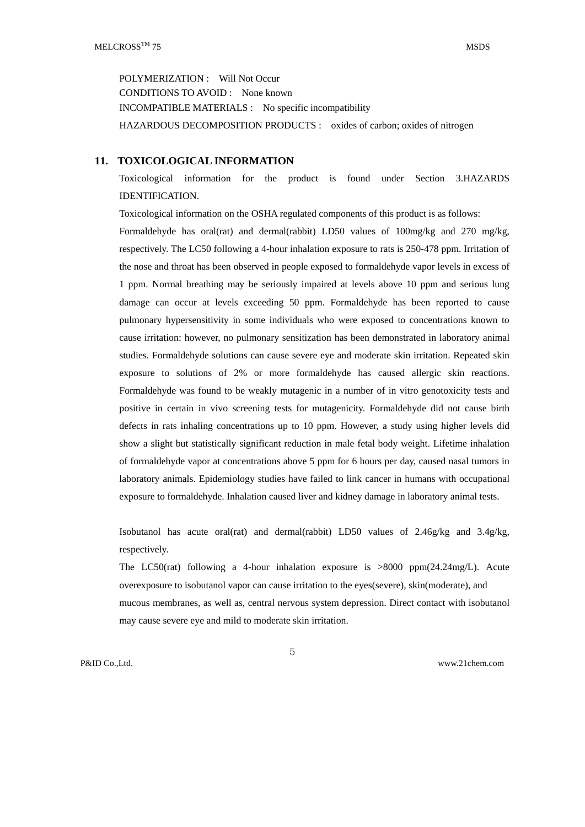POLYMERIZATION : Will Not Occur CONDITIONS TO AVOID : None known INCOMPATIBLE MATERIALS : No specific incompatibility HAZARDOUS DECOMPOSITION PRODUCTS : oxides of carbon; oxides of nitrogen

### **11. TOXICOLOGICAL INFORMATION**

Toxicological information for the product is found under Section 3.HAZARDS IDENTIFICATION.

Toxicological information on the OSHA regulated components of this product is as follows:

Formaldehyde has oral(rat) and dermal(rabbit) LD50 values of 100mg/kg and 270 mg/kg, respectively. The LC50 following a 4-hour inhalation exposure to rats is 250-478 ppm. Irritation of the nose and throat has been observed in people exposed to formaldehyde vapor levels in excess of 1 ppm. Normal breathing may be seriously impaired at levels above 10 ppm and serious lung damage can occur at levels exceeding 50 ppm. Formaldehyde has been reported to cause pulmonary hypersensitivity in some individuals who were exposed to concentrations known to cause irritation: however, no pulmonary sensitization has been demonstrated in laboratory animal studies. Formaldehyde solutions can cause severe eye and moderate skin irritation. Repeated skin exposure to solutions of 2% or more formaldehyde has caused allergic skin reactions. Formaldehyde was found to be weakly mutagenic in a number of in vitro genotoxicity tests and positive in certain in vivo screening tests for mutagenicity. Formaldehyde did not cause birth defects in rats inhaling concentrations up to 10 ppm. However, a study using higher levels did show a slight but statistically significant reduction in male fetal body weight. Lifetime inhalation of formaldehyde vapor at concentrations above 5 ppm for 6 hours per day, caused nasal tumors in laboratory animals. Epidemiology studies have failed to link cancer in humans with occupational exposure to formaldehyde. Inhalation caused liver and kidney damage in laboratory animal tests.

Isobutanol has acute oral(rat) and dermal(rabbit) LD50 values of 2.46g/kg and 3.4g/kg, respectively.

The LC50(rat) following a 4-hour inhalation exposure is >8000 ppm(24.24mg/L). Acute overexposure to isobutanol vapor can cause irritation to the eyes(severe), skin(moderate), and mucous membranes, as well as, central nervous system depression. Direct contact with isobutanol may cause severe eye and mild to moderate skin irritation.

5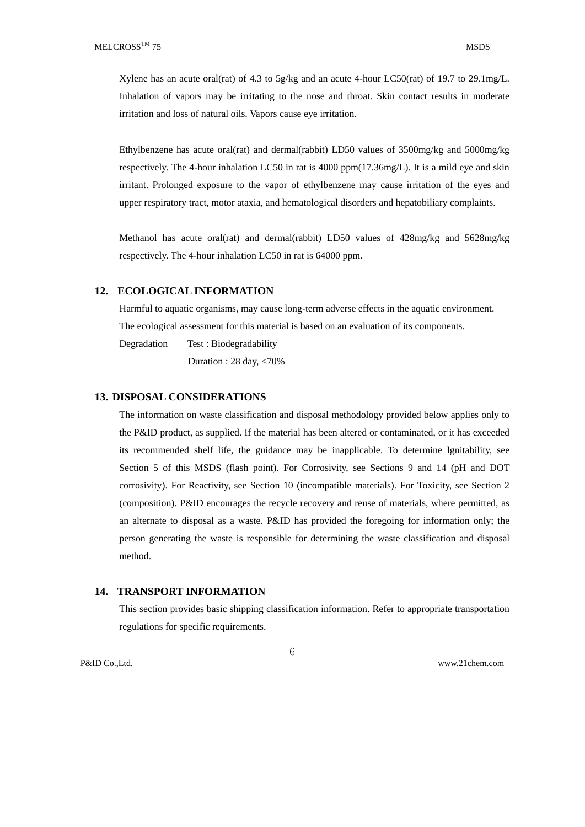Xylene has an acute oral(rat) of 4.3 to  $5g/kg$  and an acute 4-hour LC50(rat) of 19.7 to 29.1mg/L. Inhalation of vapors may be irritating to the nose and throat. Skin contact results in moderate irritation and loss of natural oils. Vapors cause eye irritation.

Ethylbenzene has acute oral(rat) and dermal(rabbit) LD50 values of 3500mg/kg and 5000mg/kg respectively. The 4-hour inhalation LC50 in rat is 4000 ppm(17.36mg/L). It is a mild eye and skin irritant. Prolonged exposure to the vapor of ethylbenzene may cause irritation of the eyes and upper respiratory tract, motor ataxia, and hematological disorders and hepatobiliary complaints.

Methanol has acute oral(rat) and dermal(rabbit) LD50 values of 428mg/kg and 5628mg/kg respectively. The 4-hour inhalation LC50 in rat is 64000 ppm.

### **12. ECOLOGICAL INFORMATION**

Harmful to aquatic organisms, may cause long-term adverse effects in the aquatic environment. The ecological assessment for this material is based on an evaluation of its components.

Degradation Test : Biodegradability

Duration : 28 day, <70%

#### **13. DISPOSAL CONSIDERATIONS**

The information on waste classification and disposal methodology provided below applies only to the P&ID product, as supplied. If the material has been altered or contaminated, or it has exceeded its recommended shelf life, the guidance may be inapplicable. To determine lgnitability, see Section 5 of this MSDS (flash point). For Corrosivity, see Sections 9 and 14 (pH and DOT corrosivity). For Reactivity, see Section 10 (incompatible materials). For Toxicity, see Section 2 (composition). P&ID encourages the recycle recovery and reuse of materials, where permitted, as an alternate to disposal as a waste. P&ID has provided the foregoing for information only; the person generating the waste is responsible for determining the waste classification and disposal method.

## **14. TRANSPORT INFORMATION**

This section provides basic shipping classification information. Refer to appropriate transportation regulations for specific requirements.

6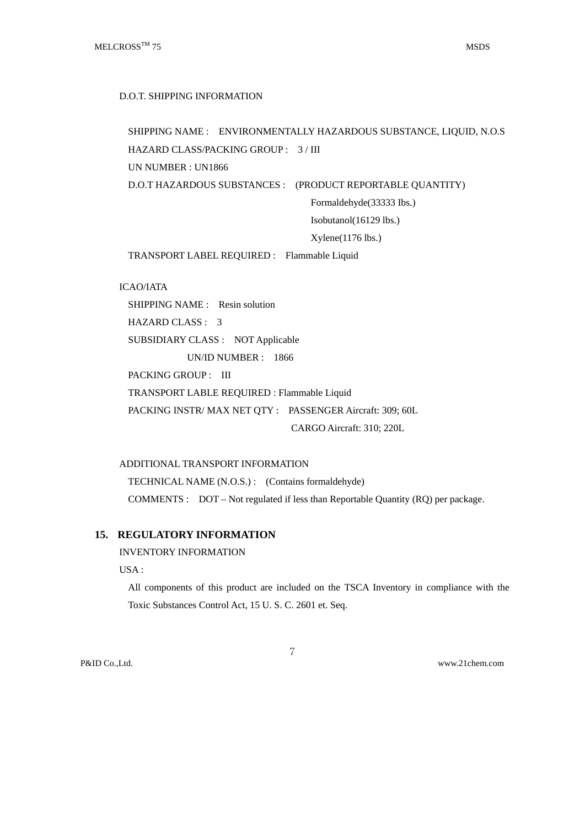D.O.T. SHIPPING INFORMATION

```
SHIPPING NAME : ENVIRONMENTALLY HAZARDOUS SUBSTANCE, LIQUID, N.O.S 
HAZARD CLASS/PACKING GROUP : 3 / III 
UN NUMBER : UN1866 
D.O.T HAZARDOUS SUBSTANCES : (PRODUCT REPORTABLE QUANTITY)
```
Formaldehyde(33333 Ibs.)

Isobutanol(16129 lbs.)

Xylene(1176 lbs.)

TRANSPORT LABEL REQUIRED : Flammable Liquid

ICAO/IATA

SHIPPING NAME : Resin solution

HAZARD CLASS : 3

SUBSIDIARY CLASS : NOT Applicable

UN/ID NUMBER : 1866

PACKING GROUP : III

TRANSPORT LABLE REQUIRED : Flammable Liquid

PACKING INSTR/ MAX NET QTY : PASSENGER Aircraft: 309; 60L

CARGO Aircraft: 310; 220L

ADDITIONAL TRANSPORT INFORMATION TECHNICAL NAME (N.O.S.) : (Contains formaldehyde) COMMENTS : DOT – Not regulated if less than Reportable Quantity (RQ) per package.

## **15. REGULATORY INFORMATION**

INVENTORY INFORMATION

USA :

All components of this product are included on the TSCA Inventory in compliance with the Toxic Substances Control Act, 15 U. S. C. 2601 et. Seq.

7